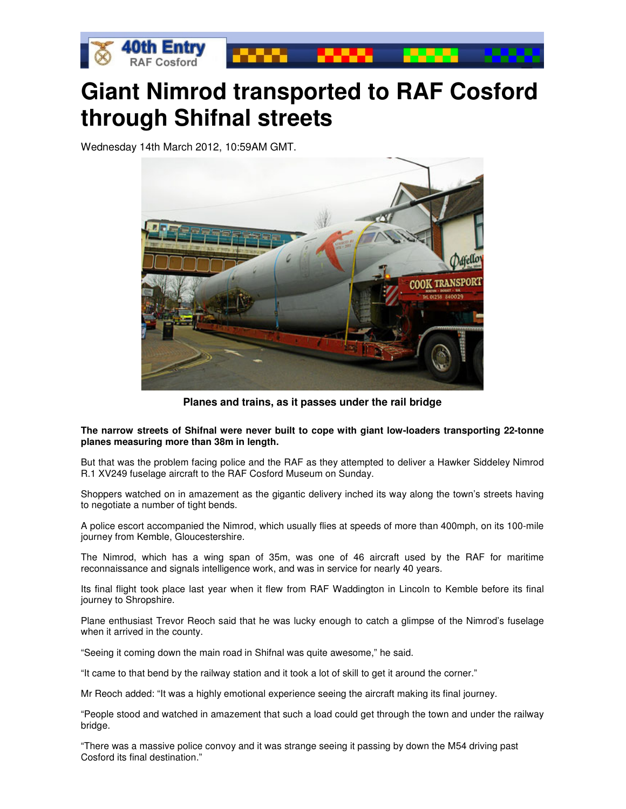

## **Giant Nimrod transported to RAF Cosford through Shifnal streets**

Wednesday 14th March 2012, 10:59AM GMT.



**Planes and trains, as it passes under the rail bridge** 

**The narrow streets of Shifnal were never built to cope with giant low-loaders transporting 22-tonne planes measuring more than 38m in length.** 

But that was the problem facing police and the RAF as they attempted to deliver a Hawker Siddeley Nimrod R.1 XV249 fuselage aircraft to the RAF Cosford Museum on Sunday.

Shoppers watched on in amazement as the gigantic delivery inched its way along the town's streets having to negotiate a number of tight bends.

A police escort accompanied the Nimrod, which usually flies at speeds of more than 400mph, on its 100-mile journey from Kemble, Gloucestershire.

The Nimrod, which has a wing span of 35m, was one of 46 aircraft used by the RAF for maritime reconnaissance and signals intelligence work, and was in service for nearly 40 years.

Its final flight took place last year when it flew from RAF Waddington in Lincoln to Kemble before its final journey to Shropshire.

Plane enthusiast Trevor Reoch said that he was lucky enough to catch a glimpse of the Nimrod's fuselage when it arrived in the county.

"Seeing it coming down the main road in Shifnal was quite awesome," he said.

"It came to that bend by the railway station and it took a lot of skill to get it around the corner."

Mr Reoch added: "It was a highly emotional experience seeing the aircraft making its final journey.

"People stood and watched in amazement that such a load could get through the town and under the railway bridge.

"There was a massive police convoy and it was strange seeing it passing by down the M54 driving past Cosford its final destination."